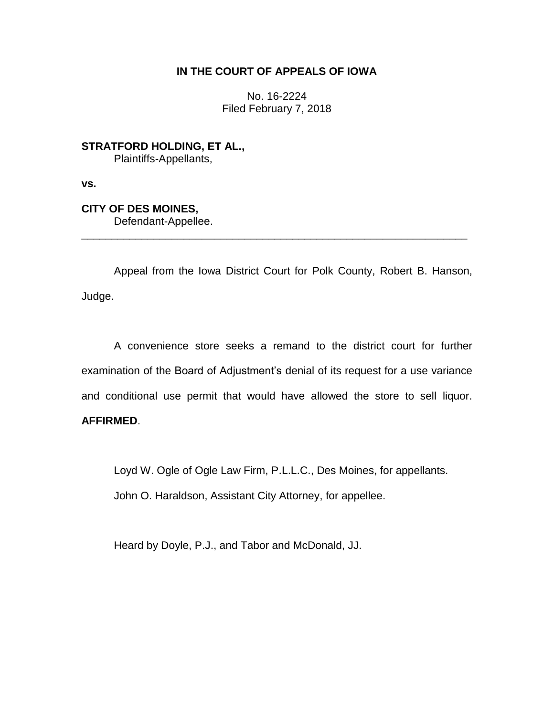## **IN THE COURT OF APPEALS OF IOWA**

No. 16-2224 Filed February 7, 2018

**STRATFORD HOLDING, ET AL.,** Plaintiffs-Appellants,

**vs.**

# **CITY OF DES MOINES,**

Defendant-Appellee.

Appeal from the Iowa District Court for Polk County, Robert B. Hanson, Judge.

\_\_\_\_\_\_\_\_\_\_\_\_\_\_\_\_\_\_\_\_\_\_\_\_\_\_\_\_\_\_\_\_\_\_\_\_\_\_\_\_\_\_\_\_\_\_\_\_\_\_\_\_\_\_\_\_\_\_\_\_\_\_\_\_

A convenience store seeks a remand to the district court for further examination of the Board of Adjustment's denial of its request for a use variance and conditional use permit that would have allowed the store to sell liquor. **AFFIRMED**.

Loyd W. Ogle of Ogle Law Firm, P.L.L.C., Des Moines, for appellants.

John O. Haraldson, Assistant City Attorney, for appellee.

Heard by Doyle, P.J., and Tabor and McDonald, JJ.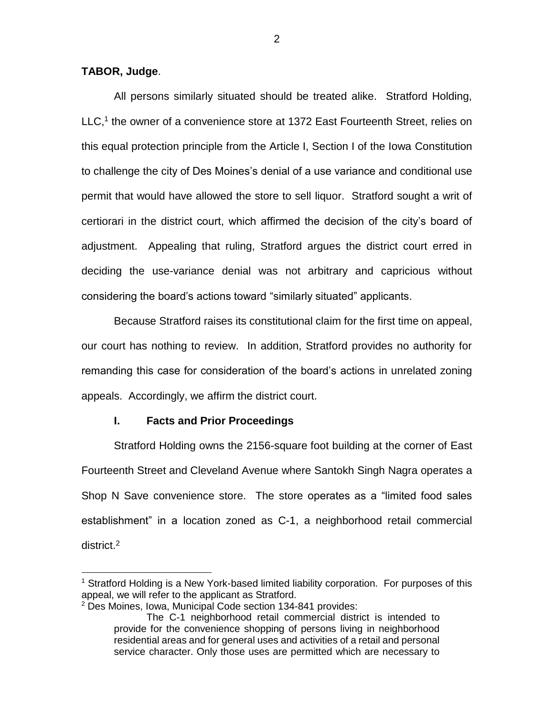## **TABOR, Judge**.

 $\overline{a}$ 

All persons similarly situated should be treated alike. Stratford Holding, LLC,<sup>1</sup> the owner of a convenience store at 1372 East Fourteenth Street, relies on this equal protection principle from the Article I, Section I of the Iowa Constitution to challenge the city of Des Moines's denial of a use variance and conditional use permit that would have allowed the store to sell liquor. Stratford sought a writ of certiorari in the district court, which affirmed the decision of the city's board of adjustment. Appealing that ruling, Stratford argues the district court erred in deciding the use-variance denial was not arbitrary and capricious without considering the board's actions toward "similarly situated" applicants.

Because Stratford raises its constitutional claim for the first time on appeal, our court has nothing to review. In addition, Stratford provides no authority for remanding this case for consideration of the board's actions in unrelated zoning appeals. Accordingly, we affirm the district court.

#### **I. Facts and Prior Proceedings**

Stratford Holding owns the 2156-square foot building at the corner of East Fourteenth Street and Cleveland Avenue where Santokh Singh Nagra operates a Shop N Save convenience store. The store operates as a "limited food sales establishment" in a location zoned as C-1, a neighborhood retail commercial district.<sup>2</sup>

<sup>&</sup>lt;sup>1</sup> Stratford Holding is a New York-based limited liability corporation. For purposes of this appeal, we will refer to the applicant as Stratford.

<sup>2</sup> Des Moines, Iowa, Municipal Code section 134-841 provides:

The C-1 neighborhood retail commercial district is intended to provide for the convenience shopping of persons living in neighborhood residential areas and for general uses and activities of a retail and personal service character. Only those uses are permitted which are necessary to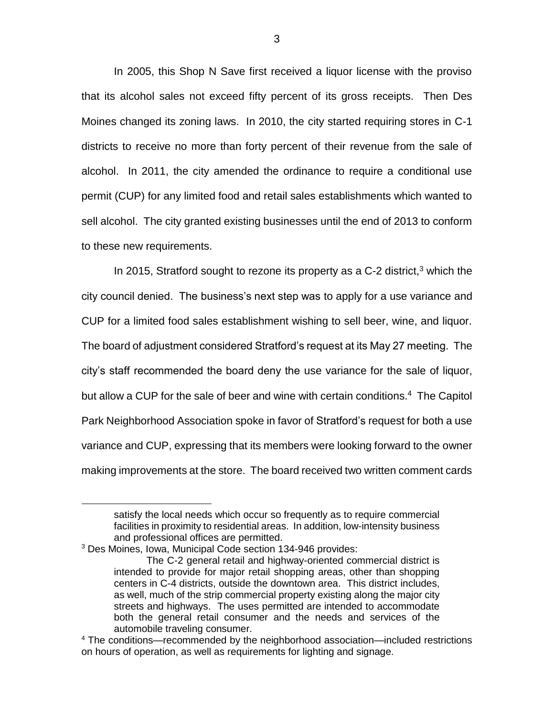In 2005, this Shop N Save first received a liquor license with the proviso that its alcohol sales not exceed fifty percent of its gross receipts. Then Des Moines changed its zoning laws. In 2010, the city started requiring stores in C-1 districts to receive no more than forty percent of their revenue from the sale of alcohol. In 2011, the city amended the ordinance to require a conditional use permit (CUP) for any limited food and retail sales establishments which wanted to sell alcohol. The city granted existing businesses until the end of 2013 to conform to these new requirements.

In 2015, Stratford sought to rezone its property as a C-2 district, $3$  which the city council denied. The business's next step was to apply for a use variance and CUP for a limited food sales establishment wishing to sell beer, wine, and liquor. The board of adjustment considered Stratford's request at its May 27 meeting. The city's staff recommended the board deny the use variance for the sale of liquor, but allow a CUP for the sale of beer and wine with certain conditions.<sup>4</sup> The Capitol Park Neighborhood Association spoke in favor of Stratford's request for both a use variance and CUP, expressing that its members were looking forward to the owner making improvements at the store. The board received two written comment cards

 $\overline{a}$ 

satisfy the local needs which occur so frequently as to require commercial facilities in proximity to residential areas. In addition, low-intensity business and professional offices are permitted.

<sup>3</sup> Des Moines, Iowa, Municipal Code section 134-946 provides:

The C-2 general retail and highway-oriented commercial district is intended to provide for major retail shopping areas, other than shopping centers in C-4 districts, outside the downtown area. This district includes, as well, much of the strip commercial property existing along the major city streets and highways. The uses permitted are intended to accommodate both the general retail consumer and the needs and services of the automobile traveling consumer.

<sup>4</sup> The conditions—recommended by the neighborhood association—included restrictions on hours of operation, as well as requirements for lighting and signage.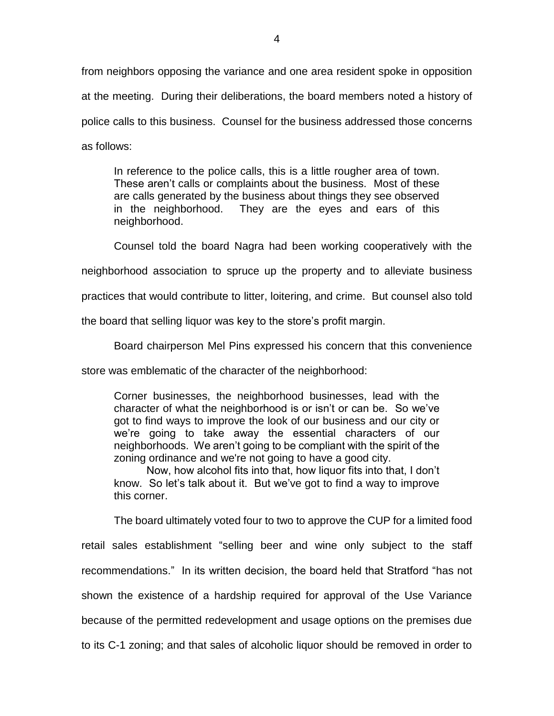from neighbors opposing the variance and one area resident spoke in opposition at the meeting. During their deliberations, the board members noted a history of police calls to this business. Counsel for the business addressed those concerns as follows:

In reference to the police calls, this is a little rougher area of town. These aren't calls or complaints about the business. Most of these are calls generated by the business about things they see observed in the neighborhood. They are the eyes and ears of this neighborhood.

Counsel told the board Nagra had been working cooperatively with the neighborhood association to spruce up the property and to alleviate business practices that would contribute to litter, loitering, and crime. But counsel also told

the board that selling liquor was key to the store's profit margin.

Board chairperson Mel Pins expressed his concern that this convenience

store was emblematic of the character of the neighborhood:

Corner businesses, the neighborhood businesses, lead with the character of what the neighborhood is or isn't or can be. So we've got to find ways to improve the look of our business and our city or we're going to take away the essential characters of our neighborhoods. We aren't going to be compliant with the spirit of the zoning ordinance and we're not going to have a good city.

Now, how alcohol fits into that, how liquor fits into that, I don't know. So let's talk about it. But we've got to find a way to improve this corner.

The board ultimately voted four to two to approve the CUP for a limited food retail sales establishment "selling beer and wine only subject to the staff recommendations." In its written decision, the board held that Stratford "has not shown the existence of a hardship required for approval of the Use Variance because of the permitted redevelopment and usage options on the premises due to its C-1 zoning; and that sales of alcoholic liquor should be removed in order to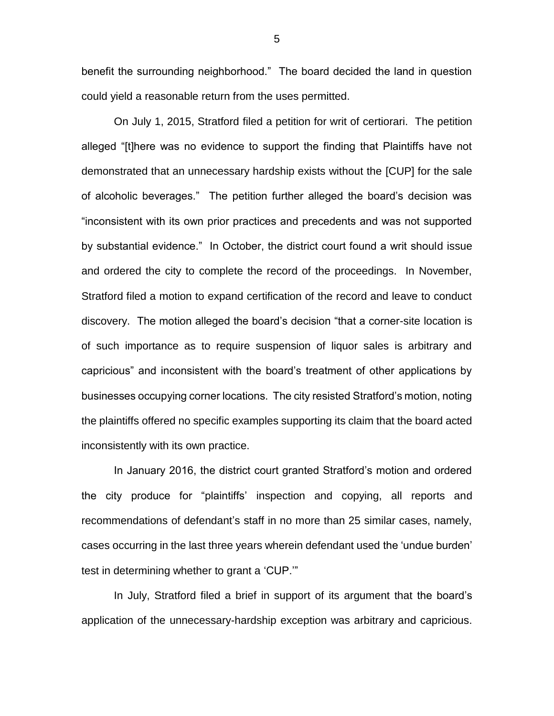benefit the surrounding neighborhood." The board decided the land in question could yield a reasonable return from the uses permitted.

On July 1, 2015, Stratford filed a petition for writ of certiorari. The petition alleged "[t]here was no evidence to support the finding that Plaintiffs have not demonstrated that an unnecessary hardship exists without the [CUP] for the sale of alcoholic beverages." The petition further alleged the board's decision was "inconsistent with its own prior practices and precedents and was not supported by substantial evidence." In October, the district court found a writ should issue and ordered the city to complete the record of the proceedings. In November, Stratford filed a motion to expand certification of the record and leave to conduct discovery. The motion alleged the board's decision "that a corner-site location is of such importance as to require suspension of liquor sales is arbitrary and capricious" and inconsistent with the board's treatment of other applications by businesses occupying corner locations. The city resisted Stratford's motion, noting the plaintiffs offered no specific examples supporting its claim that the board acted inconsistently with its own practice.

In January 2016, the district court granted Stratford's motion and ordered the city produce for "plaintiffs' inspection and copying, all reports and recommendations of defendant's staff in no more than 25 similar cases, namely, cases occurring in the last three years wherein defendant used the 'undue burden' test in determining whether to grant a 'CUP.'"

In July, Stratford filed a brief in support of its argument that the board's application of the unnecessary-hardship exception was arbitrary and capricious.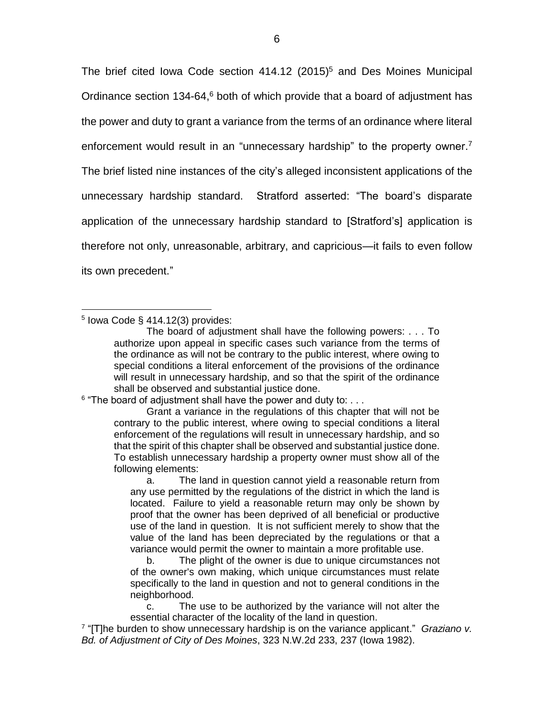The brief cited Iowa Code section  $414.12$  (2015)<sup>5</sup> and Des Moines Municipal Ordinance section  $134-64$ ,<sup>6</sup> both of which provide that a board of adjustment has the power and duty to grant a variance from the terms of an ordinance where literal enforcement would result in an "unnecessary hardship" to the property owner.<sup>7</sup> The brief listed nine instances of the city's alleged inconsistent applications of the unnecessary hardship standard. Stratford asserted: "The board's disparate application of the unnecessary hardship standard to [Stratford's] application is therefore not only, unreasonable, arbitrary, and capricious—it fails to even follow its own precedent."

 $\overline{a}$  $5$  lowa Code § 414.12(3) provides:

 $6$  "The board of adjustment shall have the power and duty to:  $\dots$ 

Grant a variance in the regulations of this chapter that will not be contrary to the public interest, where owing to special conditions a literal enforcement of the regulations will result in unnecessary hardship, and so that the spirit of this chapter shall be observed and substantial justice done. To establish unnecessary hardship a property owner must show all of the following elements:

a. The land in question cannot yield a reasonable return from any use permitted by the regulations of the district in which the land is located. Failure to yield a reasonable return may only be shown by proof that the owner has been deprived of all beneficial or productive use of the land in question. It is not sufficient merely to show that the value of the land has been depreciated by the regulations or that a variance would permit the owner to maintain a more profitable use.

b. The plight of the owner is due to unique circumstances not of the owner's own making, which unique circumstances must relate specifically to the land in question and not to general conditions in the neighborhood.

c. The use to be authorized by the variance will not alter the essential character of the locality of the land in question.

7 "[T]he burden to show unnecessary hardship is on the variance applicant." *Graziano v. Bd. of Adjustment of City of Des Moines*, 323 N.W.2d 233, 237 (Iowa 1982).

The board of adjustment shall have the following powers: . . . To authorize upon appeal in specific cases such variance from the terms of the ordinance as will not be contrary to the public interest, where owing to special conditions a literal enforcement of the provisions of the ordinance will result in unnecessary hardship, and so that the spirit of the ordinance shall be observed and substantial justice done.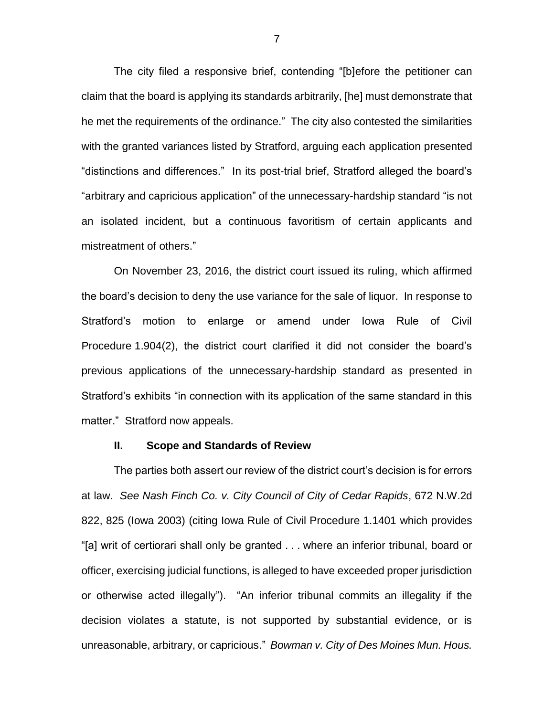The city filed a responsive brief, contending "[b]efore the petitioner can claim that the board is applying its standards arbitrarily, [he] must demonstrate that he met the requirements of the ordinance." The city also contested the similarities with the granted variances listed by Stratford, arguing each application presented "distinctions and differences." In its post-trial brief, Stratford alleged the board's "arbitrary and capricious application" of the unnecessary-hardship standard "is not an isolated incident, but a continuous favoritism of certain applicants and mistreatment of others."

On November 23, 2016, the district court issued its ruling, which affirmed the board's decision to deny the use variance for the sale of liquor. In response to Stratford's motion to enlarge or amend under Iowa Rule of Civil Procedure 1.904(2), the district court clarified it did not consider the board's previous applications of the unnecessary-hardship standard as presented in Stratford's exhibits "in connection with its application of the same standard in this matter." Stratford now appeals.

#### **II. Scope and Standards of Review**

The parties both assert our review of the district court's decision is for errors at law. *See Nash Finch Co. v. City Council of City of Cedar Rapids*, 672 N.W.2d 822, 825 (Iowa 2003) (citing Iowa Rule of Civil Procedure 1.1401 which provides "[a] writ of certiorari shall only be granted . . . where an inferior tribunal, board or officer, exercising judicial functions, is alleged to have exceeded proper jurisdiction or otherwise acted illegally"). "An inferior tribunal commits an illegality if the decision violates a statute, is not supported by substantial evidence, or is unreasonable, arbitrary, or capricious." *Bowman v. City of Des Moines Mun. Hous.*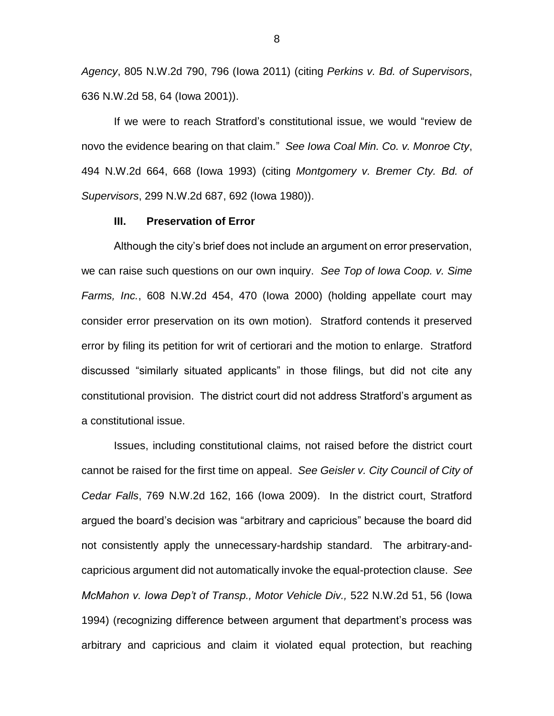*Agency*, 805 N.W.2d 790, 796 (Iowa 2011) (citing *Perkins v. Bd. of Supervisors*, 636 N.W.2d 58, 64 (Iowa 2001)).

If we were to reach Stratford's constitutional issue, we would "review de novo the evidence bearing on that claim." *See Iowa Coal Min. Co. v. Monroe Cty*, 494 N.W.2d 664, 668 (Iowa 1993) (citing *Montgomery v. Bremer Cty. Bd. of Supervisors*, 299 N.W.2d 687, 692 (Iowa 1980)).

#### **III. Preservation of Error**

Although the city's brief does not include an argument on error preservation, we can raise such questions on our own inquiry. *See Top of Iowa Coop. v. Sime Farms, Inc.*, 608 N.W.2d 454, 470 (Iowa 2000) (holding appellate court may consider error preservation on its own motion). Stratford contends it preserved error by filing its petition for writ of certiorari and the motion to enlarge. Stratford discussed "similarly situated applicants" in those filings, but did not cite any constitutional provision. The district court did not address Stratford's argument as a constitutional issue.

Issues, including constitutional claims, not raised before the district court cannot be raised for the first time on appeal. *See Geisler v. City Council of City of Cedar Falls*, 769 N.W.2d 162, 166 (Iowa 2009). In the district court, Stratford argued the board's decision was "arbitrary and capricious" because the board did not consistently apply the unnecessary-hardship standard. The arbitrary-andcapricious argument did not automatically invoke the equal-protection clause. *See McMahon v. Iowa Dep't of Transp., Motor Vehicle Div.,* 522 N.W.2d 51, 56 (Iowa 1994) (recognizing difference between argument that department's process was arbitrary and capricious and claim it violated equal protection, but reaching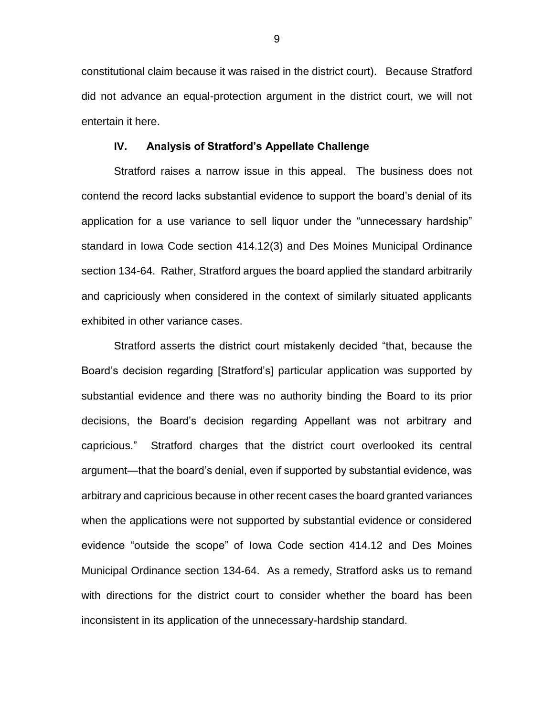constitutional claim because it was raised in the district court). Because Stratford did not advance an equal-protection argument in the district court, we will not entertain it here.

#### **IV. Analysis of Stratford's Appellate Challenge**

Stratford raises a narrow issue in this appeal. The business does not contend the record lacks substantial evidence to support the board's denial of its application for a use variance to sell liquor under the "unnecessary hardship" standard in Iowa Code section 414.12(3) and Des Moines Municipal Ordinance section 134-64. Rather, Stratford argues the board applied the standard arbitrarily and capriciously when considered in the context of similarly situated applicants exhibited in other variance cases.

Stratford asserts the district court mistakenly decided "that, because the Board's decision regarding [Stratford's] particular application was supported by substantial evidence and there was no authority binding the Board to its prior decisions, the Board's decision regarding Appellant was not arbitrary and capricious." Stratford charges that the district court overlooked its central argument—that the board's denial, even if supported by substantial evidence, was arbitrary and capricious because in other recent cases the board granted variances when the applications were not supported by substantial evidence or considered evidence "outside the scope" of Iowa Code section 414.12 and Des Moines Municipal Ordinance section 134-64. As a remedy, Stratford asks us to remand with directions for the district court to consider whether the board has been inconsistent in its application of the unnecessary-hardship standard.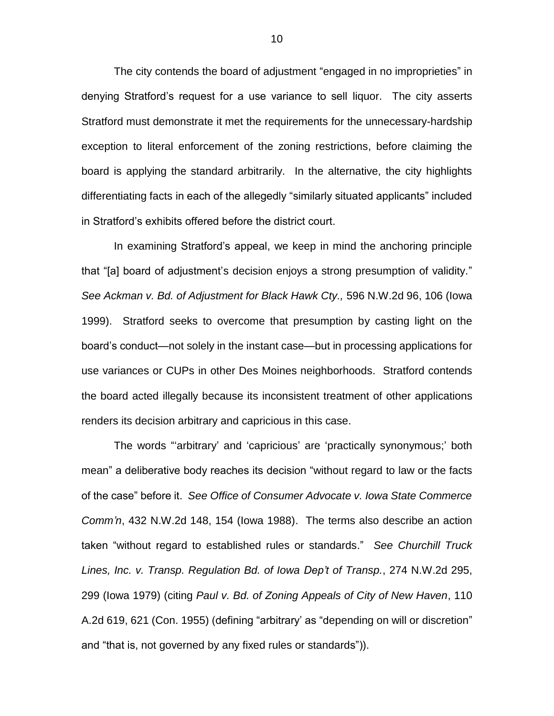The city contends the board of adjustment "engaged in no improprieties" in denying Stratford's request for a use variance to sell liquor. The city asserts Stratford must demonstrate it met the requirements for the unnecessary-hardship exception to literal enforcement of the zoning restrictions, before claiming the board is applying the standard arbitrarily. In the alternative, the city highlights differentiating facts in each of the allegedly "similarly situated applicants" included in Stratford's exhibits offered before the district court.

In examining Stratford's appeal, we keep in mind the anchoring principle that "[a] board of adjustment's decision enjoys a strong presumption of validity." *See Ackman v. Bd. of Adjustment for Black Hawk Cty.,* 596 N.W.2d 96, 106 (Iowa 1999). Stratford seeks to overcome that presumption by casting light on the board's conduct—not solely in the instant case—but in processing applications for use variances or CUPs in other Des Moines neighborhoods. Stratford contends the board acted illegally because its inconsistent treatment of other applications renders its decision arbitrary and capricious in this case.

The words "'arbitrary' and 'capricious' are 'practically synonymous;' both mean" a deliberative body reaches its decision "without regard to law or the facts of the case" before it. *See Office of Consumer Advocate v. Iowa State Commerce Comm'n*, 432 N.W.2d 148, 154 (Iowa 1988). The terms also describe an action taken "without regard to established rules or standards." *See Churchill Truck Lines, Inc. v. Transp. Regulation Bd. of Iowa Dep't of Transp.*, 274 N.W.2d 295, 299 (Iowa 1979) (citing *Paul v. Bd. of Zoning Appeals of City of New Haven*, 110 A.2d 619, 621 (Con. 1955) (defining "arbitrary' as "depending on will or discretion" and "that is, not governed by any fixed rules or standards")).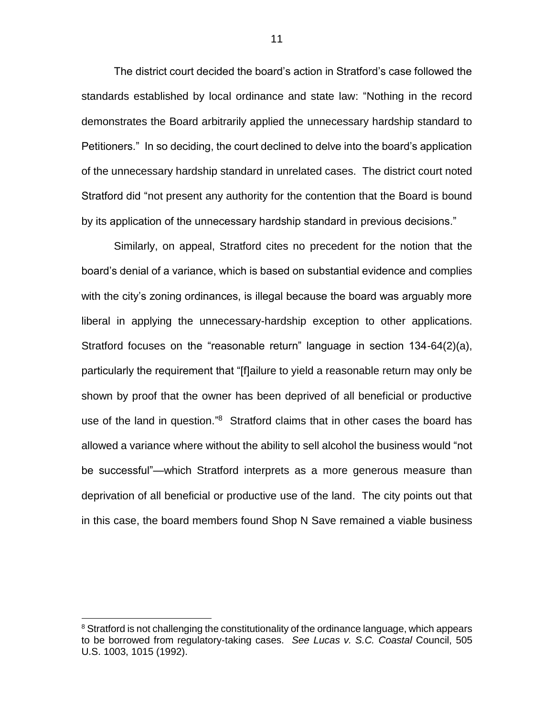The district court decided the board's action in Stratford's case followed the standards established by local ordinance and state law: "Nothing in the record demonstrates the Board arbitrarily applied the unnecessary hardship standard to Petitioners." In so deciding, the court declined to delve into the board's application of the unnecessary hardship standard in unrelated cases. The district court noted Stratford did "not present any authority for the contention that the Board is bound by its application of the unnecessary hardship standard in previous decisions."

Similarly, on appeal, Stratford cites no precedent for the notion that the board's denial of a variance, which is based on substantial evidence and complies with the city's zoning ordinances, is illegal because the board was arguably more liberal in applying the unnecessary-hardship exception to other applications. Stratford focuses on the "reasonable return" language in section 134-64(2)(a), particularly the requirement that "[f]ailure to yield a reasonable return may only be shown by proof that the owner has been deprived of all beneficial or productive use of the land in question."<sup>8</sup> Stratford claims that in other cases the board has allowed a variance where without the ability to sell alcohol the business would "not be successful"—which Stratford interprets as a more generous measure than deprivation of all beneficial or productive use of the land. The city points out that in this case, the board members found Shop N Save remained a viable business

 $\overline{a}$ 

<sup>&</sup>lt;sup>8</sup> Stratford is not challenging the constitutionality of the ordinance language, which appears to be borrowed from regulatory-taking cases. *See Lucas v. S.C. Coastal* Council, 505 U.S. 1003, 1015 (1992).